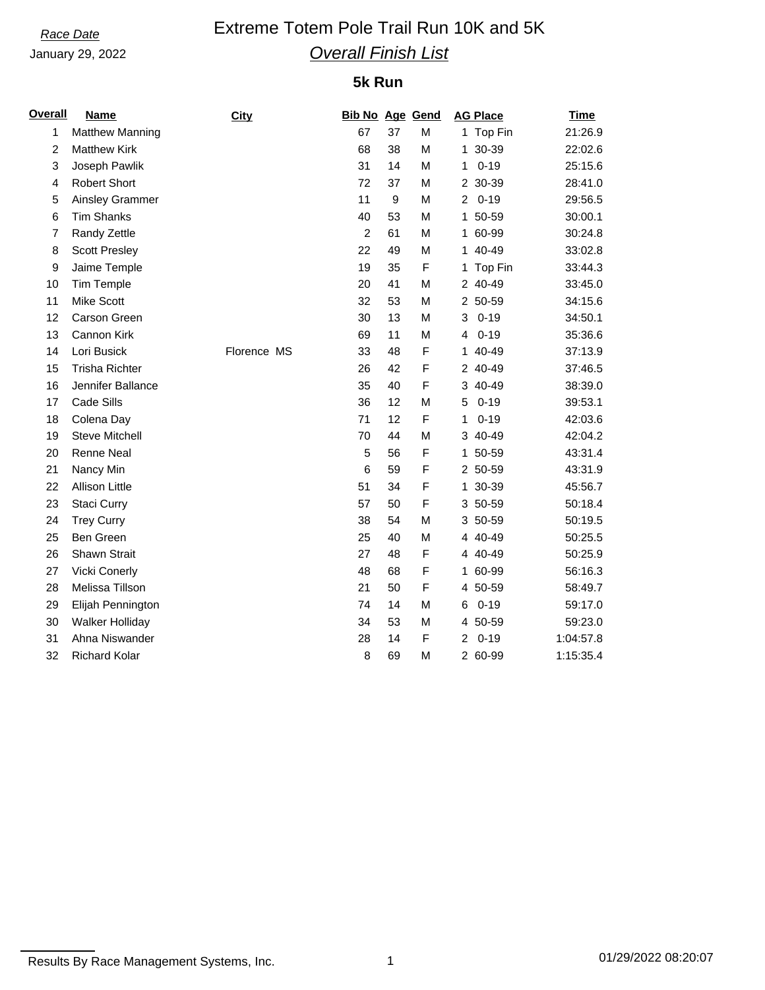January 29, 2022

## **Race Date Extreme Totem Pole Trail Run 10K and 5K** *Overall Finish List*

## **5k Run**

| <u>Overall</u> | <b>Name</b>            | <b>City</b> | <b>Bib No Age Gend</b> |             |   | <b>AG Place</b>            | <b>Time</b> |
|----------------|------------------------|-------------|------------------------|-------------|---|----------------------------|-------------|
| 1              | <b>Matthew Manning</b> |             | 67                     | 37          | M | 1 Top Fin                  | 21:26.9     |
| $\overline{c}$ | <b>Matthew Kirk</b>    |             | 68                     | 38          | M | 1 30-39                    | 22:02.6     |
| 3              | Joseph Pawlik          |             | 31                     | 14          | M | $0 - 19$<br>1              | 25:15.6     |
| 4              | <b>Robert Short</b>    |             | 72                     | 37          | M | 2 30-39                    | 28:41.0     |
| 5              | Ainsley Grammer        |             | 11                     | $\mathsf g$ | M | $\overline{2}$<br>$0 - 19$ | 29:56.5     |
| 6              | <b>Tim Shanks</b>      |             | 40                     | 53          | M | 1 50-59                    | 30:00.1     |
| $\overline{7}$ | Randy Zettle           |             | $\overline{2}$         | 61          | M | 1 60-99                    | 30:24.8     |
| 8              | <b>Scott Presley</b>   |             | 22                     | 49          | M | 1 40-49                    | 33:02.8     |
| 9              | Jaime Temple           |             | 19                     | 35          | F | 1 Top Fin                  | 33:44.3     |
| 10             | <b>Tim Temple</b>      |             | 20                     | 41          | M | 2 40-49                    | 33:45.0     |
| 11             | <b>Mike Scott</b>      |             | 32                     | 53          | M | 2 50-59                    | 34:15.6     |
| 12             | Carson Green           |             | 30                     | 13          | M | $0 - 19$<br>3              | 34:50.1     |
| 13             | Cannon Kirk            |             | 69                     | 11          | M | $0 - 19$<br>4              | 35:36.6     |
| 14             | Lori Busick            | Florence MS | 33                     | 48          | F | 40-49<br>1.                | 37:13.9     |
| 15             | <b>Trisha Richter</b>  |             | 26                     | 42          | F | 2 40-49                    | 37:46.5     |
| 16             | Jennifer Ballance      |             | 35                     | 40          | F | 3 40-49                    | 38:39.0     |
| 17             | Cade Sills             |             | 36                     | 12          | M | $0 - 19$<br>5              | 39:53.1     |
| 18             | Colena Day             |             | 71                     | 12          | F | $0 - 19$<br>1              | 42:03.6     |
| 19             | <b>Steve Mitchell</b>  |             | 70                     | 44          | M | 3 40-49                    | 42:04.2     |
| 20             | Renne Neal             |             | 5                      | 56          | F | 1 50-59                    | 43:31.4     |
| 21             | Nancy Min              |             | 6                      | 59          | F | 2 50-59                    | 43:31.9     |
| 22             | Allison Little         |             | 51                     | 34          | F | 1 30-39                    | 45:56.7     |
| 23             | Staci Curry            |             | 57                     | 50          | F | 3 50-59                    | 50:18.4     |
| 24             | <b>Trey Curry</b>      |             | 38                     | 54          | M | 3 50-59                    | 50:19.5     |
| 25             | <b>Ben Green</b>       |             | 25                     | 40          | M | 4 40-49                    | 50:25.5     |
| 26             | Shawn Strait           |             | 27                     | 48          | F | 4 40-49                    | 50:25.9     |
| 27             | <b>Vicki Conerly</b>   |             | 48                     | 68          | F | 1 60-99                    | 56:16.3     |
| 28             | Melissa Tillson        |             | 21                     | 50          | F | 4 50-59                    | 58:49.7     |
| 29             | Elijah Pennington      |             | 74                     | 14          | M | $0 - 19$<br>6              | 59:17.0     |
| 30             | Walker Holliday        |             | 34                     | 53          | M | 4 50-59                    | 59:23.0     |
| 31             | Ahna Niswander         |             | 28                     | 14          | F | $0 - 19$<br>2              | 1:04:57.8   |
| 32             | <b>Richard Kolar</b>   |             | 8                      | 69          | M | 2 60-99                    | 1:15:35.4   |

Results By Race Management Systems, Inc. 1 01/29/2022 08:20:07